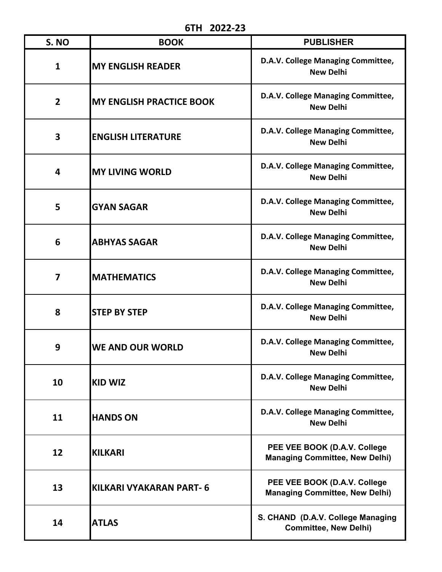**6TH 2022-23**

| S. NO                   | LULL-LJ<br><b>BOOK</b>          | <b>PUBLISHER</b>                                                      |  |
|-------------------------|---------------------------------|-----------------------------------------------------------------------|--|
| $\mathbf{1}$            | <b>MY ENGLISH READER</b>        | D.A.V. College Managing Committee,<br><b>New Delhi</b>                |  |
| $\overline{2}$          | <b>MY ENGLISH PRACTICE BOOK</b> | D.A.V. College Managing Committee,<br><b>New Delhi</b>                |  |
| 3                       | <b>ENGLISH LITERATURE</b>       | D.A.V. College Managing Committee,<br><b>New Delhi</b>                |  |
| 4                       | <b>MY LIVING WORLD</b>          | D.A.V. College Managing Committee,<br><b>New Delhi</b>                |  |
| 5                       | <b>GYAN SAGAR</b>               | D.A.V. College Managing Committee,<br><b>New Delhi</b>                |  |
| 6                       | <b>ABHYAS SAGAR</b>             | D.A.V. College Managing Committee,<br><b>New Delhi</b>                |  |
| $\overline{\mathbf{z}}$ | <b>MATHEMATICS</b>              | D.A.V. College Managing Committee,<br><b>New Delhi</b>                |  |
| 8                       | <b>STEP BY STEP</b>             | D.A.V. College Managing Committee,<br><b>New Delhi</b>                |  |
| 9                       | <b>WE AND OUR WORLD</b>         | D.A.V. College Managing Committee,<br><b>New Delhi</b>                |  |
| 10                      | <b>KID WIZ</b>                  | D.A.V. College Managing Committee,<br><b>New Delhi</b>                |  |
| 11                      | <b>IHANDS ON</b>                | D.A.V. College Managing Committee,<br><b>New Delhi</b>                |  |
| 12                      | <b>KILKARI</b>                  | PEE VEE BOOK (D.A.V. College<br><b>Managing Committee, New Delhi)</b> |  |
| 13                      | IKILKARI VYAKARAN PART- 6       | PEE VEE BOOK (D.A.V. College<br><b>Managing Committee, New Delhi)</b> |  |
| 14                      | <b>ATLAS</b>                    | S. CHAND (D.A.V. College Managing<br><b>Committee, New Delhi)</b>     |  |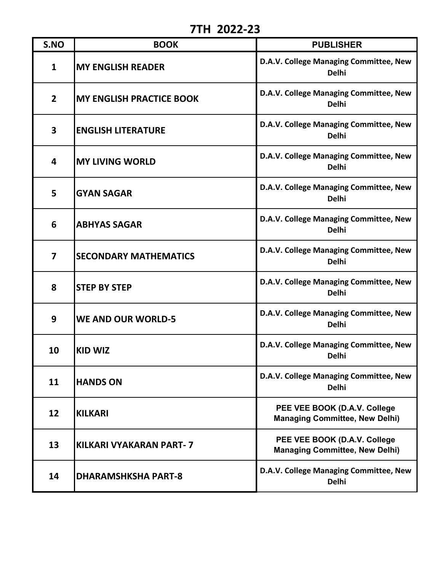**7TH 2022-23**

| S.NO                    | <b>BOOK</b>                     | <b>PUBLISHER</b>                                                      |
|-------------------------|---------------------------------|-----------------------------------------------------------------------|
| $\mathbf{1}$            | <b>MY ENGLISH READER</b>        | D.A.V. College Managing Committee, New<br><b>Delhi</b>                |
| $\overline{2}$          | <b>MY ENGLISH PRACTICE BOOK</b> | D.A.V. College Managing Committee, New<br><b>Delhi</b>                |
| 3                       | <b>ENGLISH LITERATURE</b>       | D.A.V. College Managing Committee, New<br><b>Delhi</b>                |
| $\overline{\mathbf{4}}$ | <b>MY LIVING WORLD</b>          | D.A.V. College Managing Committee, New<br><b>Delhi</b>                |
| 5                       | <b>GYAN SAGAR</b>               | D.A.V. College Managing Committee, New<br><b>Delhi</b>                |
| 6                       | <b>ABHYAS SAGAR</b>             | D.A.V. College Managing Committee, New<br><b>Delhi</b>                |
| $\overline{7}$          | <b>SECONDARY MATHEMATICS</b>    | D.A.V. College Managing Committee, New<br><b>Delhi</b>                |
| 8                       | <b>STEP BY STEP</b>             | D.A.V. College Managing Committee, New<br><b>Delhi</b>                |
| 9                       | <b>WE AND OUR WORLD-5</b>       | D.A.V. College Managing Committee, New<br><b>Delhi</b>                |
| 10                      | <b>KID WIZ</b>                  | D.A.V. College Managing Committee, New<br><b>Delhi</b>                |
| 11                      | <b>HANDS ON</b>                 | D.A.V. College Managing Committee, New<br><b>Delhi</b>                |
| 12                      | <b>KILKARI</b>                  | PEE VEE BOOK (D.A.V. College<br><b>Managing Committee, New Delhi)</b> |
| 13                      | <b>KILKARI VYAKARAN PART-7</b>  | PEE VEE BOOK (D.A.V. College<br><b>Managing Committee, New Delhi)</b> |
| 14                      | <b>DHARAMSHKSHA PART-8</b>      | D.A.V. College Managing Committee, New<br><b>Delhi</b>                |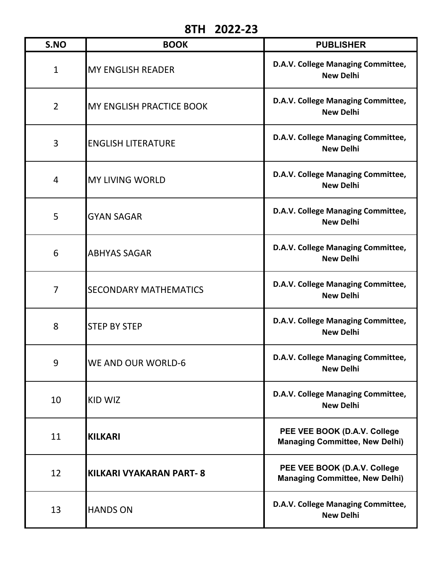## **8TH 2022-23**

| S.NO           | <b>BOOK</b>                     | <b>PUBLISHER</b>                                                      |  |
|----------------|---------------------------------|-----------------------------------------------------------------------|--|
| $\mathbf{1}$   | <b>MY ENGLISH READER</b>        | D.A.V. College Managing Committee,<br><b>New Delhi</b>                |  |
| $\overline{2}$ | <b>MY ENGLISH PRACTICE BOOK</b> | D.A.V. College Managing Committee,<br><b>New Delhi</b>                |  |
| 3              | <b>ENGLISH LITERATURE</b>       | D.A.V. College Managing Committee,<br><b>New Delhi</b>                |  |
| 4              | <b>MY LIVING WORLD</b>          | D.A.V. College Managing Committee,<br><b>New Delhi</b>                |  |
| 5              | <b>GYAN SAGAR</b>               | D.A.V. College Managing Committee,<br><b>New Delhi</b>                |  |
| 6              | <b>ABHYAS SAGAR</b>             | D.A.V. College Managing Committee,<br><b>New Delhi</b>                |  |
| 7              | <b>SECONDARY MATHEMATICS</b>    | D.A.V. College Managing Committee,<br><b>New Delhi</b>                |  |
| 8              | <b>STEP BY STEP</b>             | D.A.V. College Managing Committee,<br><b>New Delhi</b>                |  |
| 9              | <b>WE AND OUR WORLD-6</b>       | D.A.V. College Managing Committee,<br><b>New Delhi</b>                |  |
| 10             | KID WIZ                         | D.A.V. College Managing Committee,<br><b>New Delhi</b>                |  |
| 11             | <b>KILKARI</b>                  | PEE VEE BOOK (D.A.V. College<br><b>Managing Committee, New Delhi)</b> |  |
| 12             | KILKARI VYAKARAN PART-8         | PEE VEE BOOK (D.A.V. College<br><b>Managing Committee, New Delhi)</b> |  |
| 13             | <b>HANDS ON</b>                 | D.A.V. College Managing Committee,<br><b>New Delhi</b>                |  |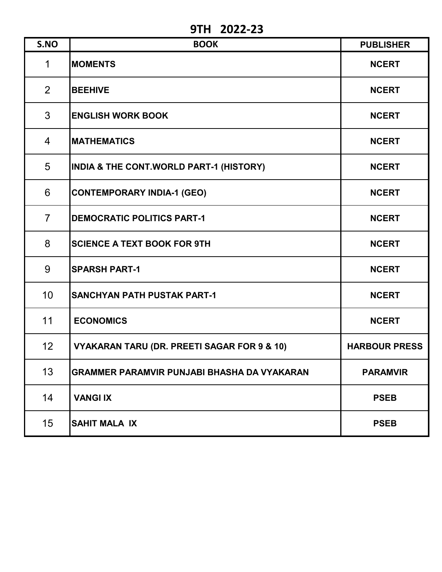**9TH 2022-23**

| S.NO           | <b>BOOK</b>                                        | <b>PUBLISHER</b>     |
|----------------|----------------------------------------------------|----------------------|
| $\mathbf 1$    | <b>MOMENTS</b>                                     | <b>NCERT</b>         |
| 2              | <b>BEEHIVE</b>                                     | <b>NCERT</b>         |
| 3              | <b>ENGLISH WORK BOOK</b>                           | <b>NCERT</b>         |
| $\overline{4}$ | <b>MATHEMATICS</b>                                 | <b>NCERT</b>         |
| 5              | INDIA & THE CONT.WORLD PART-1 (HISTORY)            | <b>NCERT</b>         |
| 6              | <b>CONTEMPORARY INDIA-1 (GEO)</b>                  | <b>NCERT</b>         |
| $\overline{7}$ | <b>DEMOCRATIC POLITICS PART-1</b>                  | <b>NCERT</b>         |
| 8              | <b>SCIENCE A TEXT BOOK FOR 9TH</b>                 | <b>NCERT</b>         |
| 9              | <b>SPARSH PART-1</b>                               | <b>NCERT</b>         |
| 10             | <b>SANCHYAN PATH PUSTAK PART-1</b>                 | <b>NCERT</b>         |
| 11             | <b>ECONOMICS</b>                                   | <b>NCERT</b>         |
| 12             | VYAKARAN TARU (DR. PREETI SAGAR FOR 9 & 10)        | <b>HARBOUR PRESS</b> |
| 13             | <b>GRAMMER PARAMVIR PUNJABI BHASHA DA VYAKARAN</b> | <b>PARAMVIR</b>      |
| 14             | <b>VANGIIX</b>                                     | <b>PSEB</b>          |
| 15             | <b>SAHIT MALA IX</b>                               | <b>PSEB</b>          |